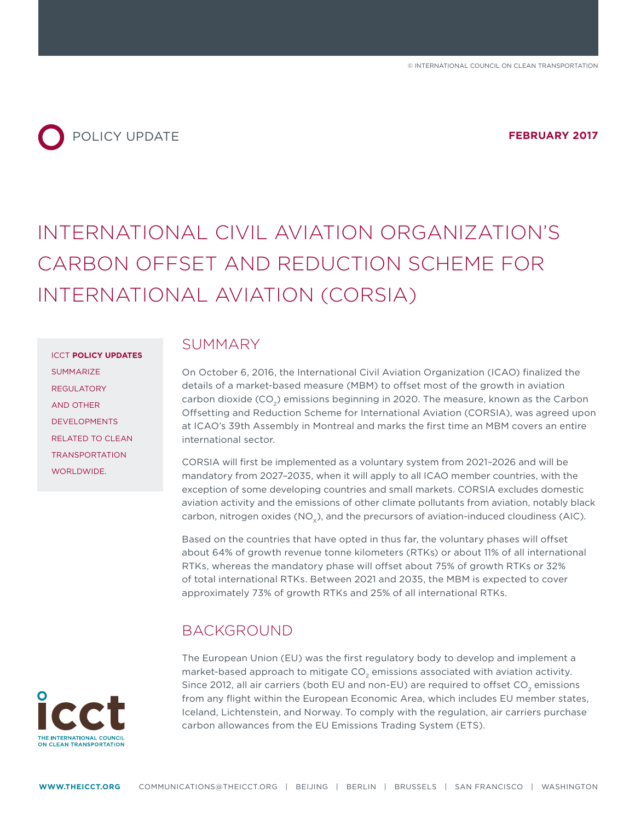

# INTERNATIONAL CIVIL AVIATION ORGANIZATION'S CARBON OFFSET AND REDUCTION SCHEME FOR INTERNATIONAL AVIATION (CORSIA)

ICCT **POLICY UPDATES** SUMMARIZE REGULATORY AND OTHER DEVELOPMENTS RELATED TO CLEAN TRANSPORTATION

WORLDWIDE.

#### **SUMMARY**

On October 6, 2016, the International Civil Aviation Organization (ICAO) finalized the details of a market-based measure (MBM) to offset most of the growth in aviation carbon dioxide (CO<sub>2</sub>) emissions beginning in 2020. The measure, known as the Carbon Ofsetting and Reduction Scheme for International Aviation (CORSIA), was agreed upon at ICAO's 39th Assembly in Montreal and marks the first time an MBM covers an entire international sector.

CORSIA will first be implemented as a voluntary system from 2021–2026 and will be mandatory from 2027–2035, when it will apply to all ICAO member countries, with the exception of some developing countries and small markets. CORSIA excludes domestic aviation activity and the emissions of other climate pollutants from aviation, notably black carbon, nitrogen oxides ( $NO_{v}$ ), and the precursors of aviation-induced cloudiness (AIC).

Based on the countries that have opted in thus far, the voluntary phases will offset about 64% of growth revenue tonne kilometers (RTKs) or about 11% of all international RTKs, whereas the mandatory phase will offset about 75% of growth RTKs or 32% of total international RTKs. Between 2021 and 2035, the MBM is expected to cover approximately 73% of growth RTKs and 25% of all international RTKs.

#### BACKGROUND

The European Union (EU) was the first regulatory body to develop and implement a market-based approach to mitigate  $CO<sub>2</sub>$  emissions associated with aviation activity. Since 2012, all air carriers (both EU and non-EU) are required to offset CO<sub>2</sub> emissions from any flight within the European Economic Area, which includes EU member states, Iceland, Lichtenstein, and Norway. To comply with the regulation, air carriers purchase carbon allowances from the EU Emissions Trading System (ETS).

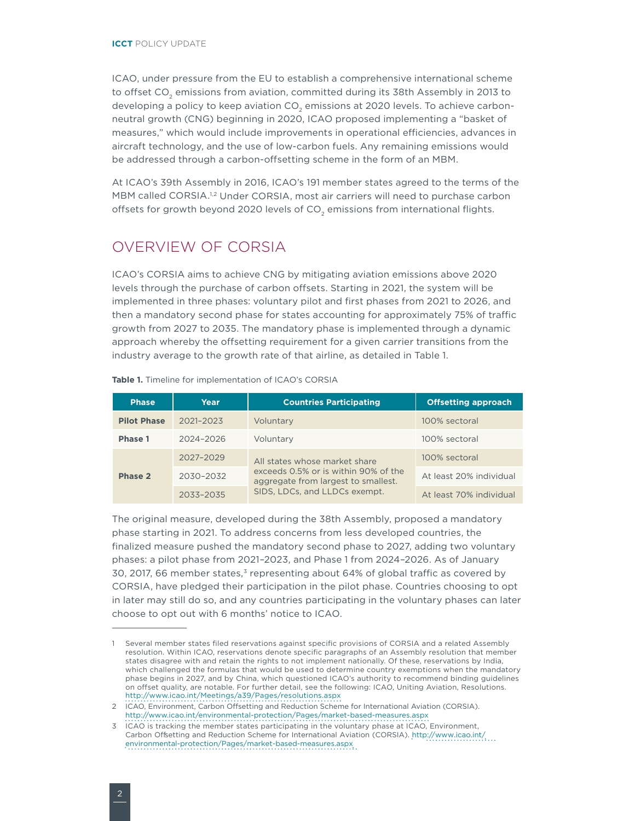ICAO, under pressure from the EU to establish a comprehensive international scheme to offset CO<sub>2</sub> emissions from aviation, committed during its 38th Assembly in 2013 to developing a policy to keep aviation CO<sub>2</sub> emissions at 2020 levels. To achieve carbonneutral growth (CNG) beginning in 2020, ICAO proposed implementing a "basket of measures," which would include improvements in operational efficiencies, advances in aircraft technology, and the use of low-carbon fuels. Any remaining emissions would be addressed through a carbon-offsetting scheme in the form of an MBM.

At ICAO's 39th Assembly in 2016, ICAO's 191 member states agreed to the terms of the MBM called CORSIA.<sup>1,2</sup> Under CORSIA, most air carriers will need to purchase carbon offsets for growth beyond 2020 levels of  $CO<sub>2</sub>$  emissions from international flights.

#### OVERVIEW OF CORSIA

ICAO's CORSIA aims to achieve CNG by mitigating aviation emissions above 2020 levels through the purchase of carbon offsets. Starting in 2021, the system will be implemented in three phases: voluntary pilot and first phases from 2021 to 2026, and then a mandatory second phase for states accounting for approximately 75% of traffic growth from 2027 to 2035. The mandatory phase is implemented through a dynamic approach whereby the ofsetting requirement for a given carrier transitions from the industry average to the growth rate of that airline, as detailed in Table 1.

| <b>Phase</b>       | Year          | <b>Countries Participating</b>                                                                                                                | <b>Offsetting approach</b> |
|--------------------|---------------|-----------------------------------------------------------------------------------------------------------------------------------------------|----------------------------|
| <b>Pilot Phase</b> | $2021 - 2023$ | Voluntary                                                                                                                                     | 100% sectoral              |
| Phase 1            | 2024-2026     | Voluntary                                                                                                                                     | 100% sectoral              |
| Phase 2            | 2027-2029     | All states whose market share<br>exceeds 0.5% or is within 90% of the<br>aggregate from largest to smallest.<br>SIDS, LDCs, and LLDCs exempt. | 100% sectoral              |
|                    | 2030-2032     |                                                                                                                                               | At least 20% individual    |
|                    | 2033-2035     |                                                                                                                                               | At least 70% individual    |

#### **Table 1.** Timeline for implementation of ICAO's CORSIA

The original measure, developed during the 38th Assembly, proposed a mandatory phase starting in 2021. To address concerns from less developed countries, the finalized measure pushed the mandatory second phase to 2027, adding two voluntary phases: a pilot phase from 2021–2023, and Phase 1 from 2024–2026. As of January 30, 2017, 66 member states, $3$  representing about 64% of global traffic as covered by CORSIA, have pledged their participation in the pilot phase. Countries choosing to opt in later may still do so, and any countries participating in the voluntary phases can later choose to opt out with 6 months' notice to ICAO.

<sup>1</sup> Several member states filed reservations against specific provisions of CORSIA and a related Assembly resolution. Within ICAO, reservations denote specific paragraphs of an Assembly resolution that member states disagree with and retain the rights to not implement nationally. Of these, reservations by India, which challenged the formulas that would be used to determine country exemptions when the mandatory phase begins in 2027, and by China, which questioned ICAO's authority to recommend binding guidelines on ofset quality, are notable. For further detail, see the following: ICAO, Uniting Aviation, Resolutions. http://www.icao.int/Meetings/a39/Pages/resolutions.aspx

<sup>2</sup> ICAO, Environment, Carbon Ofsetting and Reduction Scheme for International Aviation (CORSIA). <http://www.icao.int/environmental-protection/Pages/market-based-measures.aspx>

<sup>3</sup> ICAO is tracking the member states participating in the voluntary phase at ICAO, Environment, Carbon Offsetting and Reduction Scheme for International Aviation (CORSIA). [http://www.icao.int/](http://www.icao.int/environmental-protection/Pages/market-based-measures.aspx) [environmental-protection/Pages/market-based-measures.aspx](http://www.icao.int/environmental-protection/Pages/market-based-measures.aspx)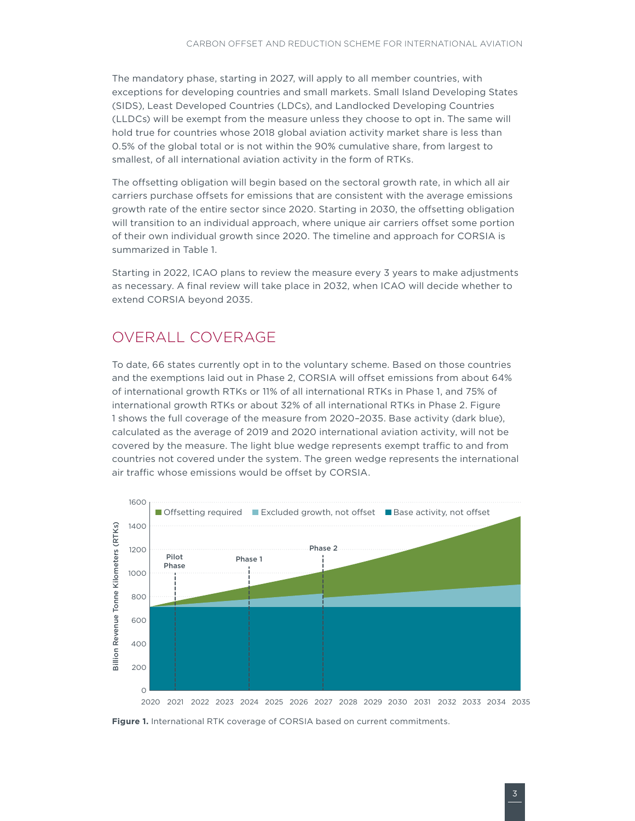The mandatory phase, starting in 2027, will apply to all member countries, with exceptions for developing countries and small markets. Small Island Developing States (SIDS), Least Developed Countries (LDCs), and Landlocked Developing Countries (LLDCs) will be exempt from the measure unless they choose to opt in. The same will hold true for countries whose 2018 global aviation activity market share is less than 0.5% of the global total or is not within the 90% cumulative share, from largest to smallest, of all international aviation activity in the form of RTKs.

The offsetting obligation will begin based on the sectoral growth rate, in which all air carriers purchase offsets for emissions that are consistent with the average emissions growth rate of the entire sector since 2020. Starting in 2030, the ofsetting obligation will transition to an individual approach, where unique air carriers offset some portion of their own individual growth since 2020. The timeline and approach for CORSIA is summarized in Table 1.

Starting in 2022, ICAO plans to review the measure every 3 years to make adjustments as necessary. A final review will take place in 2032, when ICAO will decide whether to extend CORSIA beyond 2035.

#### OVERALL COVERAGE

To date, 66 states currently opt in to the voluntary scheme. Based on those countries and the exemptions laid out in Phase 2, CORSIA will offset emissions from about 64% of international growth RTKs or 11% of all international RTKs in Phase 1, and 75% of international growth RTKs or about 32% of all international RTKs in Phase 2. [Figure](#page-2-0)  1 shows the full coverage of the measure from 2020–2035. Base activity (dark blue), calculated as the average of 2019 and 2020 international aviation activity, will not be covered by the measure. The light blue wedge represents exempt traffic to and from countries not covered under the system. The green wedge represents the international air traffic whose emissions would be offset by CORSIA.



<span id="page-2-0"></span>**Figure 1.** International RTK coverage of CORSIA based on current commitments.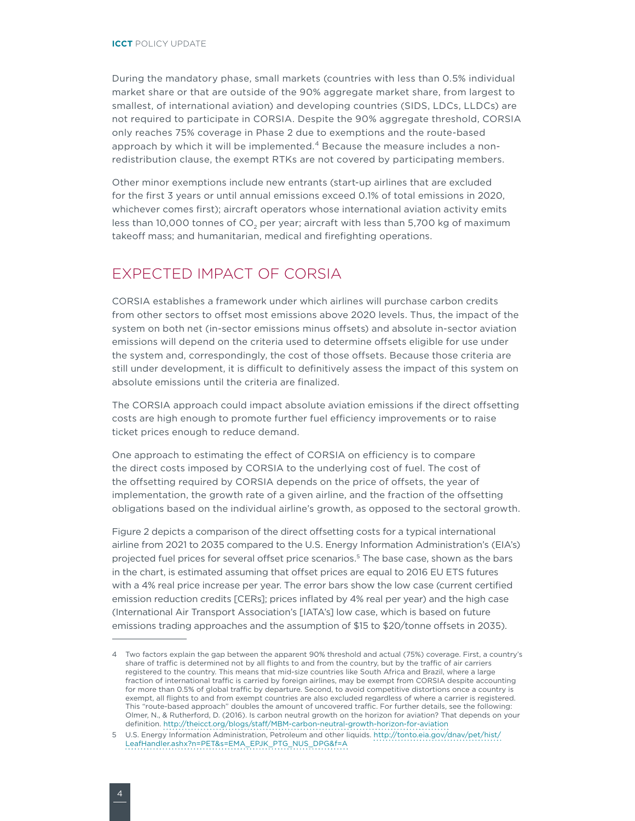During the mandatory phase, small markets (countries with less than 0.5% individual market share or that are outside of the 90% aggregate market share, from largest to smallest, of international aviation) and developing countries (SIDS, LDCs, LLDCs) are not required to participate in CORSIA. Despite the 90% aggregate threshold, CORSIA only reaches 75% coverage in Phase 2 due to exemptions and the route-based approach by which it will be implemented.<sup>4</sup> Because the measure includes a nonredistribution clause, the exempt RTKs are not covered by participating members.

Other minor exemptions include new entrants (start-up airlines that are excluded for the first 3 years or until annual emissions exceed 0.1% of total emissions in 2020, whichever comes first); aircraft operators whose international aviation activity emits less than 10,000 tonnes of CO<sub>2</sub> per year; aircraft with less than 5,700 kg of maximum takeoff mass; and humanitarian, medical and firefighting operations.

### EXPECTED IMPACT OF CORSIA

CORSIA establishes a framework under which airlines will purchase carbon credits from other sectors to offset most emissions above 2020 levels. Thus, the impact of the system on both net (in-sector emissions minus offsets) and absolute in-sector aviation emissions will depend on the criteria used to determine ofsets eligible for use under the system and, correspondingly, the cost of those offsets. Because those criteria are still under development, it is difficult to definitively assess the impact of this system on absolute emissions until the criteria are finalized.

The CORSIA approach could impact absolute aviation emissions if the direct ofsetting costs are high enough to promote further fuel efficiency improvements or to raise ticket prices enough to reduce demand.

One approach to estimating the effect of CORSIA on efficiency is to compare the direct costs imposed by CORSIA to the underlying cost of fuel. The cost of the ofsetting required by CORSIA depends on the price of ofsets, the year of implementation, the growth rate of a given airline, and the fraction of the ofsetting obligations based on the individual airline's growth, as opposed to the sectoral growth.

[Figure 2](#page-4-0) depicts a comparison of the direct offsetting costs for a typical international airline from 2021 to 2035 compared to the U.S. Energy Information Administration's (EIA's) projected fuel prices for several offset price scenarios.<sup>5</sup> The base case, shown as the bars in the chart, is estimated assuming that offset prices are equal to 2016 EU ETS futures with a 4% real price increase per year. The error bars show the low case (current certified emission reduction credits [CERs]; prices inflated by 4% real per year) and the high case (International Air Transport Association's [IATA's] low case, which is based on future emissions trading approaches and the assumption of \$15 to \$20/tonne offsets in 2035).

<sup>4</sup> Two factors explain the gap between the apparent 90% threshold and actual (75%) coverage. First, a country's share of traffic is determined not by all flights to and from the country, but by the traffic of air carriers registered to the country. This means that mid-size countries like South Africa and Brazil, where a large fraction of international traffic is carried by foreign airlines, may be exempt from CORSIA despite accounting for more than 0.5% of global traffic by departure. Second, to avoid competitive distortions once a country is exempt, all flights to and from exempt countries are also excluded regardless of where a carrier is registered. This "route-based approach" doubles the amount of uncovered traffic. For further details, see the following: Olmer, N., & Rutherford, D. (2016). Is carbon neutral growth on the horizon for aviation? That depends on your definition. http://theicct.org/blogs/staf[/MBM-carbon-neutral-growth-horizon-for-aviation](http://theicct.org/blogs/staff/MBM-carbon-neutral-growth-horizon-for-aviation)

<sup>5</sup> U.S. Energy Information Administration, Petroleum and other liquids. [http://tonto.eia.gov/dnav/pet/hist/](http://tonto.eia.gov/dnav/pet/hist/LeafHandler.ashx?n=PET&s=EMA_EPJK_PTG_NUS_DPG&f=A) [LeafHandler.ashx?n=PET&s=EMA\\_EPJK\\_PTG\\_NUS\\_DPG&f=A](http://tonto.eia.gov/dnav/pet/hist/LeafHandler.ashx?n=PET&s=EMA_EPJK_PTG_NUS_DPG&f=A)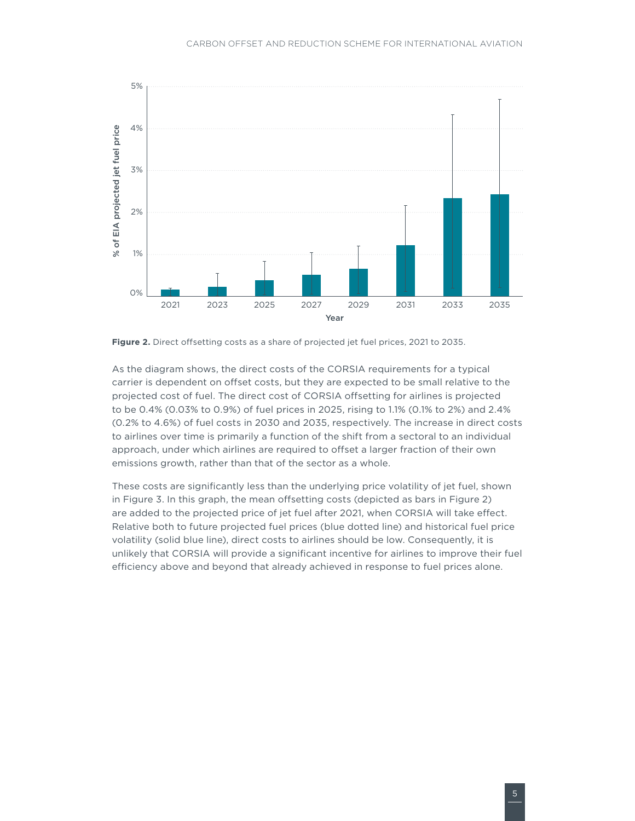

<span id="page-4-0"></span>Figure 2. Direct offsetting costs as a share of projected jet fuel prices, 2021 to 2035.

As the diagram shows, the direct costs of the CORSIA requirements for a typical carrier is dependent on offset costs, but they are expected to be small relative to the projected cost of fuel. The direct cost of CORSIA offsetting for airlines is projected to be 0.4% (0.03% to 0.9%) of fuel prices in 2025, rising to 1.1% (0.1% to 2%) and 2.4% (0.2% to 4.6%) of fuel costs in 2030 and 2035, respectively. The increase in direct costs to airlines over time is primarily a function of the shift from a sectoral to an individual approach, under which airlines are required to offset a larger fraction of their own emissions growth, rather than that of the sector as a whole.

These costs are significantly less than the underlying price volatility of jet fuel, shown in [Figure](#page-5-0) 3. In this graph, the mean ofsetting costs (depicted as bars in [Figure](#page-4-0) 2) are added to the projected price of jet fuel after 2021, when CORSIA will take efect. Relative both to future projected fuel prices (blue dotted line) and historical fuel price volatility (solid blue line), direct costs to airlines should be low. Consequently, it is unlikely that CORSIA will provide a significant incentive for airlines to improve their fuel efficiency above and beyond that already achieved in response to fuel prices alone.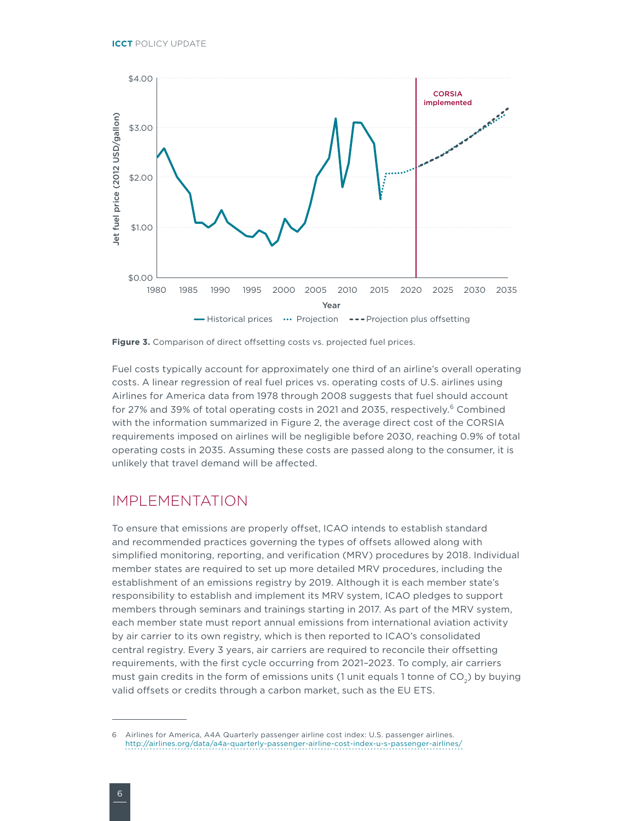

<span id="page-5-0"></span>Figure 3. Comparison of direct offsetting costs vs. projected fuel prices.

Fuel costs typically account for approximately one third of an airline's overall operating costs. A linear regression of real fuel prices vs. operating costs of U.S. airlines using Airlines for America data from 1978 through 2008 suggests that fuel should account for 27% and 39% of total operating costs in 2021 and 2035, respectively.<sup>6</sup> Combined with the information summarized in [Figure 2](#page-4-0), the average direct cost of the CORSIA requirements imposed on airlines will be negligible before 2030, reaching 0.9% of total operating costs in 2035. Assuming these costs are passed along to the consumer, it is unlikely that travel demand will be afected.

#### IMPLEMENTATION

To ensure that emissions are properly offset, ICAO intends to establish standard and recommended practices governing the types of ofsets allowed along with simplified monitoring, reporting, and verification (MRV) procedures by 2018. Individual member states are required to set up more detailed MRV procedures, including the establishment of an emissions registry by 2019. Although it is each member state's responsibility to establish and implement its MRV system, ICAO pledges to support members through seminars and trainings starting in 2017. As part of the MRV system, each member state must report annual emissions from international aviation activity by air carrier to its own registry, which is then reported to ICAO's consolidated central registry. Every 3 years, air carriers are required to reconcile their ofsetting requirements, with the first cycle occurring from 2021–2023. To comply, air carriers must gain credits in the form of emissions units (1 unit equals 1 tonne of  $CO<sub>2</sub>$ ) by buying valid offsets or credits through a carbon market, such as the EU ETS.

<sup>6</sup> Airlines for America, A4A Quarterly passenger airline cost index: U.S. passenger airlines. http://airlines.org/data/a4a-quarterly-passenger-airline-cost-index-u-s-passenger-airlines/